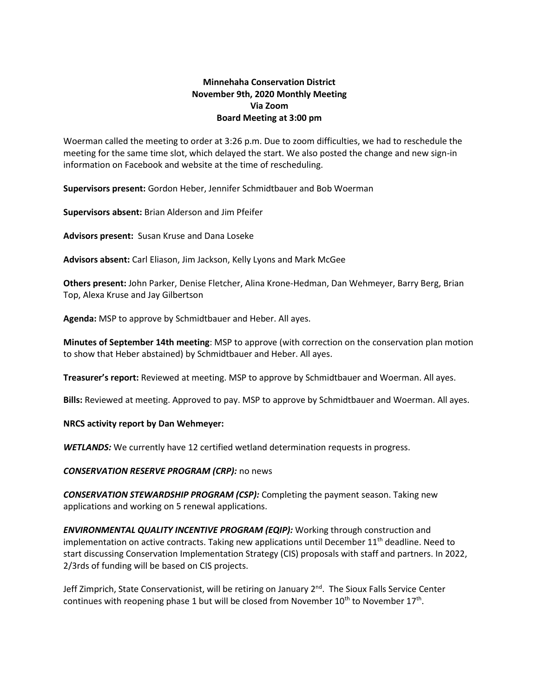# **Minnehaha Conservation District November 9th, 2020 Monthly Meeting Via Zoom Board Meeting at 3:00 pm**

Woerman called the meeting to order at 3:26 p.m. Due to zoom difficulties, we had to reschedule the meeting for the same time slot, which delayed the start. We also posted the change and new sign-in information on Facebook and website at the time of rescheduling.

**Supervisors present:** Gordon Heber, Jennifer Schmidtbauer and Bob Woerman

**Supervisors absent:** Brian Alderson and Jim Pfeifer

**Advisors present:** Susan Kruse and Dana Loseke

**Advisors absent:** Carl Eliason, Jim Jackson, Kelly Lyons and Mark McGee

**Others present:** John Parker, Denise Fletcher, Alina Krone-Hedman, Dan Wehmeyer, Barry Berg, Brian Top, Alexa Kruse and Jay Gilbertson

**Agenda:** MSP to approve by Schmidtbauer and Heber. All ayes.

**Minutes of September 14th meeting**: MSP to approve (with correction on the conservation plan motion to show that Heber abstained) by Schmidtbauer and Heber. All ayes.

**Treasurer's report:** Reviewed at meeting. MSP to approve by Schmidtbauer and Woerman. All ayes.

**Bills:** Reviewed at meeting. Approved to pay. MSP to approve by Schmidtbauer and Woerman. All ayes.

#### **NRCS activity report by Dan Wehmeyer:**

*WETLANDS:* We currently have 12 certified wetland determination requests in progress.

#### *CONSERVATION RESERVE PROGRAM (CRP):* no news

*CONSERVATION STEWARDSHIP PROGRAM (CSP):* Completing the payment season. Taking new applications and working on 5 renewal applications.

*ENVIRONMENTAL QUALITY INCENTIVE PROGRAM (EQIP):* Working through construction and implementation on active contracts. Taking new applications until December 11<sup>th</sup> deadline. Need to start discussing Conservation Implementation Strategy (CIS) proposals with staff and partners. In 2022, 2/3rds of funding will be based on CIS projects.

Jeff Zimprich, State Conservationist, will be retiring on January  $2^{nd}$ . The Sioux Falls Service Center continues with reopening phase 1 but will be closed from November 10<sup>th</sup> to November 17<sup>th</sup>.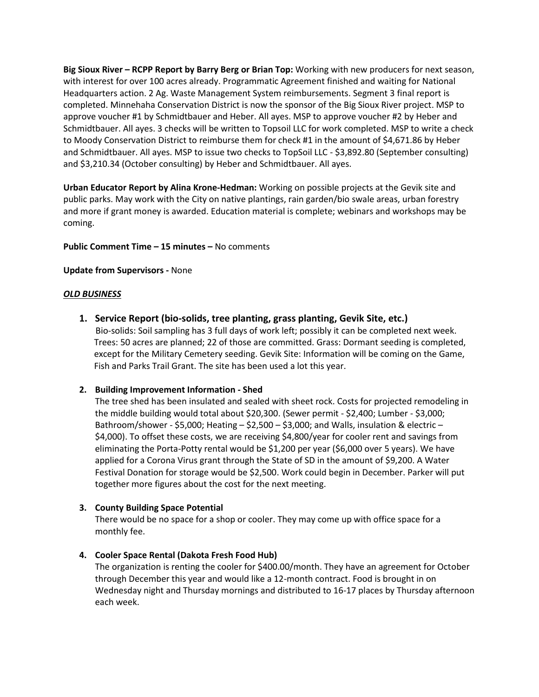**Big Sioux River – RCPP Report by Barry Berg or Brian Top:** Working with new producers for next season, with interest for over 100 acres already. Programmatic Agreement finished and waiting for National Headquarters action. 2 Ag. Waste Management System reimbursements. Segment 3 final report is completed. Minnehaha Conservation District is now the sponsor of the Big Sioux River project. MSP to approve voucher #1 by Schmidtbauer and Heber. All ayes. MSP to approve voucher #2 by Heber and Schmidtbauer. All ayes. 3 checks will be written to Topsoil LLC for work completed. MSP to write a check to Moody Conservation District to reimburse them for check #1 in the amount of \$4,671.86 by Heber and Schmidtbauer. All ayes. MSP to issue two checks to TopSoil LLC - \$3,892.80 (September consulting) and \$3,210.34 (October consulting) by Heber and Schmidtbauer. All ayes.

**Urban Educator Report by Alina Krone-Hedman:** Working on possible projects at the Gevik site and public parks. May work with the City on native plantings, rain garden/bio swale areas, urban forestry and more if grant money is awarded. Education material is complete; webinars and workshops may be coming.

**Public Comment Time – 15 minutes –** No comments

#### **Update from Supervisors -** None

#### *OLD BUSINESS*

**1. Service Report (bio-solids, tree planting, grass planting, Gevik Site, etc.)**

Bio-solids: Soil sampling has 3 full days of work left; possibly it can be completed next week. Trees: 50 acres are planned; 22 of those are committed. Grass: Dormant seeding is completed, except for the Military Cemetery seeding. Gevik Site: Information will be coming on the Game, Fish and Parks Trail Grant. The site has been used a lot this year.

#### **2. Building Improvement Information - Shed**

The tree shed has been insulated and sealed with sheet rock. Costs for projected remodeling in the middle building would total about \$20,300. (Sewer permit - \$2,400; Lumber - \$3,000; Bathroom/shower - \$5,000; Heating – \$2,500 – \$3,000; and Walls, insulation & electric – \$4,000). To offset these costs, we are receiving \$4,800/year for cooler rent and savings from eliminating the Porta-Potty rental would be \$1,200 per year (\$6,000 over 5 years). We have applied for a Corona Virus grant through the State of SD in the amount of \$9,200. A Water Festival Donation for storage would be \$2,500. Work could begin in December. Parker will put together more figures about the cost for the next meeting.

### **3. County Building Space Potential**

There would be no space for a shop or cooler. They may come up with office space for a monthly fee.

### **4. Cooler Space Rental (Dakota Fresh Food Hub)**

The organization is renting the cooler for \$400.00/month. They have an agreement for October through December this year and would like a 12-month contract. Food is brought in on Wednesday night and Thursday mornings and distributed to 16-17 places by Thursday afternoon each week.